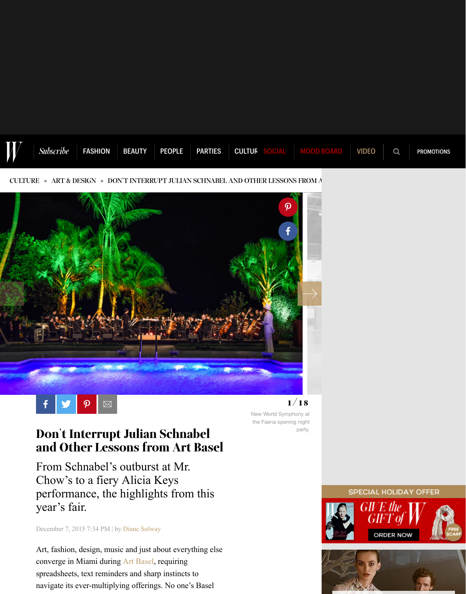

[CULTURE](http://www.wmagazine.com/culture/) » [ART & DESIGN](http://www.wmagazine.com/culture/art-and-design/) » DON'T INTERRUPT JULIAN SCHNABEL AND OTHER LESSONS FROM A





New World Symphony at the Faena opening night party.

## Don't Interrupt Julian Schnabel and Other Lessons from Art Basel

From Schnabel's outburst at Mr. Chow's to a fiery Alicia Keys performance, the highlights from this year's fair.

December 7, 2015 7:34 PM | by [Diane Solway](http://www.wmagazine.com/author/dianesolway)

Art, fashion, design, music and just about everything else converge in Miami during [Art Basel,](http://www.wmagazine.com/parties/2015/12/the-best-basel-bashes/) requiring spreadsheets, text reminders and sharp instincts to navigate its ever-multiplying offerings. No one's Basel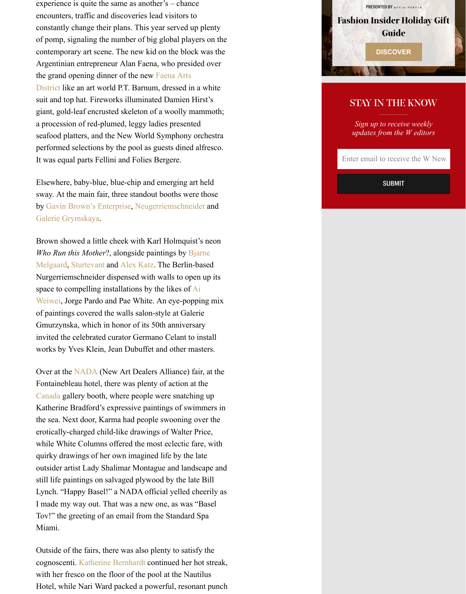experience is quite the same as another's – chance encounters, traffic and discoveries lead visitors to constantly change their plans. This year served up plenty of pomp, signaling the number of big global players on the contemporary art scene. The new kid on the block was the Argentinian entrepreneur Alan Faena, who presided over the grand opening dinner of the new Faena Arts [District like an art world P.T. Barnum, dressed in](http://www.wmagazine.com/parties/2015/12/art-basel-miami-beach-rubell-faena/photos/) a white suit and top hat. Fireworks illuminated Damien Hirst's giant, gold-leaf encrusted skeleton of a woolly mammoth; a procession of red-plumed, leggy ladies presented seafood platters, and the New World Symphony orchestra performed selections by the pool as guests dined alfresco. It was equal parts Fellini and Folies Bergere.

Elsewhere, baby-blue, blue-chip and emerging art held sway. At the main fair, three standout booths were those by [Gavin Brown's Enterprise,](http://www.wmagazine.com/culture/art-and-design/2013/07/gavin-brown-artist-and-curator-profile/) [Neugerriemschneider](http://www.wmagazine.com/culture/art-and-design/2013/12/art-basel-recap/photos/) and [Galerie Grymskaya.](http://www.wmagazine.com/people/insiders/2015/09/fashionable-gallery-girls/photos/slide/1)

Brown showed a little cheek with Karl Holmquist's neon *Who Run this Mother*?, alongside paintings by Bjarne [Melgaard, Sturtevant and Alex Katz. The Berlin-based](http://www.wmagazine.com/culture/art-and-design/2014/11/bjarne-melgaard-artist-fashion/) Nurgerriemschneider dispensed with walls to open up its space to compelling installations by the likes of Ai [Weiwei, Jorge Pardo and Pae White. An eye-poppi](http://www.wmagazine.com/culture/art-and-design/2011/11/ai-weiwei-chinese-artist-collaborates-with-w-ss/photos/slide/1)ng mix of paintings covered the walls salon-style at Galerie Gmurzynska, which in honor of its 50th anniversary invited the celebrated curator Germano Celant to install works by Yves Klein, Jean Dubuffet and other masters.

Over at the [NADA](http://www.wmagazine.com/culture/art-and-design/2015/05/nada-contemporary-fashion-cheryl-donegan/photos/slide/1) (New Art Dealers Alliance) fair, at the Fontainebleau hotel, there was plenty of action at the [Canada](http://www.wmagazine.com/culture/art-and-design/2015/11/canada-gallery/photos/) gallery booth, where people were snatching up Katherine Bradford's expressive paintings of swimmers in the sea. Next door, Karma had people swooning over the erotically-charged child-like drawings of Walter Price, while White Columns offered the most eclectic fare, with quirky drawings of her own imagined life by the late outsider artist Lady Shalimar Montague and landscape and still life paintings on salvaged plywood by the late Bill Lynch. "Happy Basel!" a NADA official yelled cheerily as I made my way out. That was a new one, as was "Basel Tov!" the greeting of an email from the Standard Spa Miami.

Outside of the fairs, there was also plenty to satisfy the cognoscenti. [Katherine Bernhardt](http://www.wmagazine.com/culture/art-and-design/2015/07/katherine-bernhardt-venus-over-los-angeles/photos/) continued her hot streak, with her fresco on the floor of the pool at the Nautilus Hotel, while Nari Ward packed a powerful, resonant punch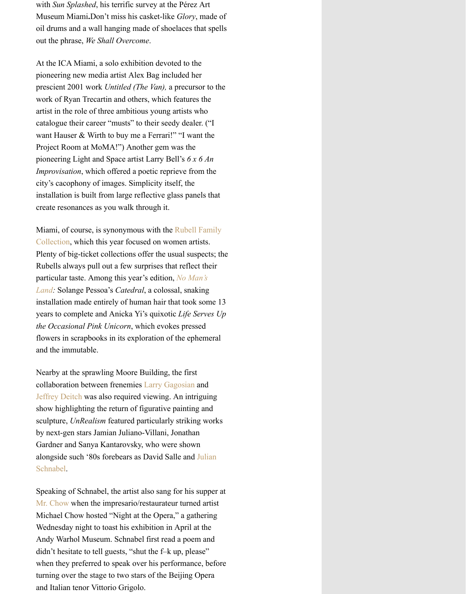with *Sun Splashed*, his terrific survey at the Pérez Art Museum Miami**.**Don't miss his casket-like *Glory*, made of oil drums and a wall hanging made of shoelaces that spells out the phrase, *We Shall Overcome*.

At the ICA Miami, a solo exhibition devoted to the pioneering new media artist Alex Bag included her prescient 2001 work *Untitled (The Van),* a precursor to the work of Ryan Trecartin and others, which features the artist in the role of three ambitious young artists who catalogue their career "musts" to their seedy dealer. ("I want Hauser & Wirth to buy me a Ferrari!" "I want the Project Room at MoMA!") Another gem was the pioneering Light and Space artist Larry Bell's *6 x 6 An Improvisation*, which offered a poetic reprieve from the city's cacophony of images. Simplicity itself, the installation is built from large reflective glass panels that create resonances as you walk through it.

[Miami, of course, is synonymous with the Rubell Family](http://www.wmagazine.com/culture/art-and-design/2015/12/art-basel-rubell-collection-instagram/photos/slide/1) Collection, which this year focused on women artists. Plenty of big-ticket collections offer the usual suspects; the Rubells always pull out a few surprises that reflect their [particular taste. Among this year's edition,](http://www.wmagazine.com/fashion/2015/12/nina-agdal-navigates-art-basel-miami-beach/) *No Man's Land:* Solange Pessoa's *Catedral*, a colossal, snaking installation made entirely of human hair that took some 13 years to complete and Anicka Yi's quixotic *Life Serves Up the Occasional Pink Unicorn*, which evokes pressed flowers in scrapbooks in its exploration of the ephemeral and the immutable.

Nearby at the sprawling Moore Building, the first collaboration between frenemies [Larry Gagosian](http://www.wmagazine.com/culture/art-and-design/2014/06/art-world-players/photos/) and [Jeffrey Deitch](http://www.wmagazine.com/culture/art-and-design/2015/10/wolfpack-brothers-deitch/photos/) was also required viewing. An intriguing show highlighting the return of figurative painting and sculpture, *UnRealism* featured particularly striking works by next-gen stars Jamian Juliano-Villani, Jonathan Gardner and Sanya Kantarovsky, who were shown [alongside such '80s forebears as David Salle and Julian](http://www.wmagazine.com/parties/2015/04/bruce-high-quality-fund-julian-schnabel/photos/) Schnabel.

Speaking of Schnabel, the artist also sang for his supper at [Mr. Chow](http://www.wmagazine.com/culture/art-and-design/2013/01/michael-chow-artistic-family/) when the impresario/restaurateur turned artist Michael Chow hosted "Night at the Opera," a gathering Wednesday night to toast his exhibition in April at the Andy Warhol Museum. Schnabel first read a poem and didn't hesitate to tell guests, "shut the f–k up, please" when they preferred to speak over his performance, before turning over the stage to two stars of the Beijing Opera and Italian tenor Vittorio Grigolo.